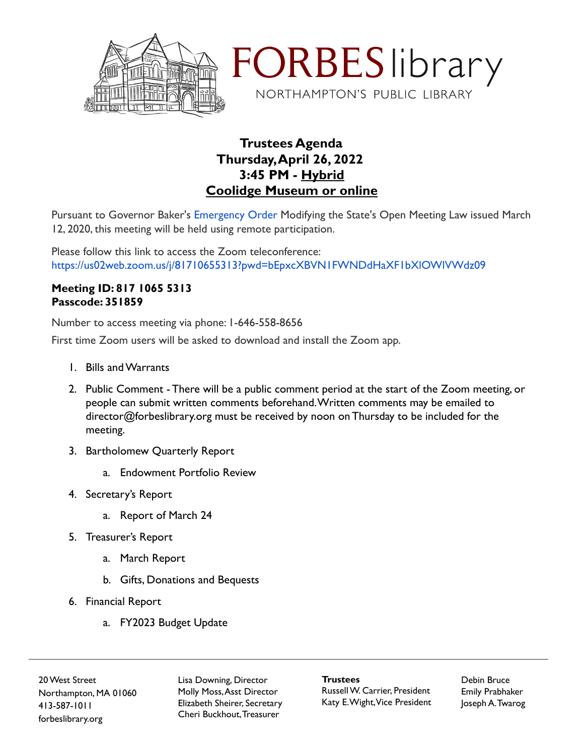



## **Trustees Agenda Thursday,April 26, 2022 3:45 PM - Hybrid Coolidge Museum or online**

Pursuant to Governor Baker's [Emergency Order](https://www.mass.gov/doc/open-meeting-law-order-march-12-2020/download) Modifying the State's Open Meeting Law issued March 12, 2020, this meeting will be held using remote participation.

Please follow this link to access the Zoom teleconference: https://us02web.zoom.us/j/81710655313?pwd=bEpxcXBVN1FWNDdHaXF1bXlOWlVWdz09

## **Meeting ID: 817 1065 5313 Passcode: 351859**

Number to access meeting via phone: 1-646-558-8656

First time Zoom users will be asked to download and install the Zoom app.

- 1. Bills and Warrants
- 2. Public Comment There will be a public comment period at the start of the Zoom meeting, or people can submit written comments beforehand.Written comments may be emailed to director@forbeslibrary.org must be received by noon on Thursday to be included for the meeting.
- 3. Bartholomew Quarterly Report
	- a. Endowment Portfolio Review
- 4. Secretary's Report
	- a. Report of March 24
- 5. Treasurer's Report
	- a. March Report
	- b. Gifts, Donations and Bequests
- 6. Financial Report
	- a. FY2023 Budget Update

20West Street Northampton, MA 01060 413-587-1011 forbeslibrary.org

Lisa Downing, Director Molly Moss,Asst Director Elizabeth Sheirer, Secretary Cheri Buckhout,Treasurer

**Trustees** RussellW. Carrier, President Katy E.Wight,Vice President Debin Bruce Emily Prabhaker Joseph A.Twarog